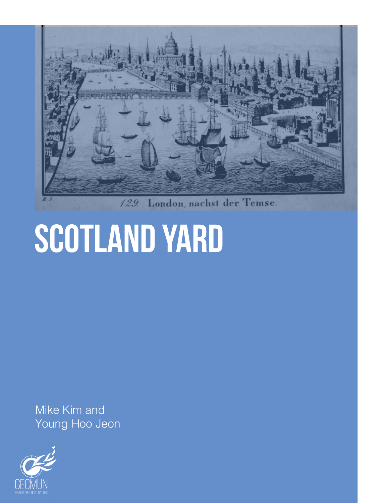

London, nachst der Temse. 129.

# scotland yard

Mike Kim and Young Hoo Jeon

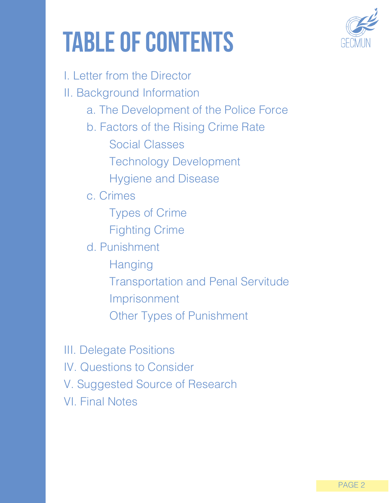# table of contents



I. Letter from the Director II. Background Information a. The Development of the Police Force b. Factors of the Rising Crime Rate Social Classes Technology Development Hygiene and Disease c. Crimes Types of Crime Fighting Crime d. Punishment Hanging Transportation and Penal Servitude Imprisonment Other Types of Punishment

III. Delegate Positions IV. Questions to Consider V. Suggested Source of Research VI. Final Notes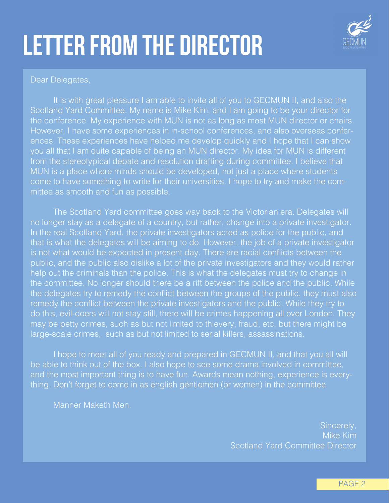# letter from the Director



#### Dear Delegates,

It is with great pleasure I am able to invite all of you to GECMUN II, and also the Scotland Yard Committee. My name is Mike Kim, and I am going to be your director for the conference. My experience with MUN is not as long as most MUN director or chairs. However, I have some experiences in in-school conferences, and also overseas conferences. These experiences have helped me develop quickly and I hope that I can show you all that I am quite capable of being an MUN director. My idea for MUN is different from the stereotypical debate and resolution drafting during committee. I believe that MUN is a place where minds should be developed, not just a place where students come to have something to write for their universities. I hope to try and make the committee as smooth and fun as possible.

The Scotland Yard committee goes way back to the Victorian era. Delegates will no longer stay as a delegate of a country, but rather, change into a private investigator. In the real Scotland Yard, the private investigators acted as police for the public, and that is what the delegates will be aiming to do. However, the job of a private investigator is not what would be expected in present day. There are racial conflicts between the public, and the public also dislike a lot of the private investigators and they would rather help out the criminals than the police. This is what the delegates must try to change in the committee. No longer should there be a rift between the police and the public. While the delegates try to remedy the conflict between the groups of the public, they must also remedy the conflict between the private investigators and the public. While they try to do this, evil-doers will not stay still, there will be crimes happening all over London. They may be petty crimes, such as but not limited to thievery, fraud, etc, but there might be large-scale crimes, such as but not limited to serial killers, assassinations.

I hope to meet all of you ready and prepared in GECMUN II, and that you all will be able to think out of the box. I also hope to see some drama involved in committee, and the most important thing is to have fun. Awards mean nothing, experience is everything. Don't forget to come in as english gentlemen (or women) in the committee.

Manner Maketh Men.

Sincerely, Mike Kim Scotland Yard Committee Director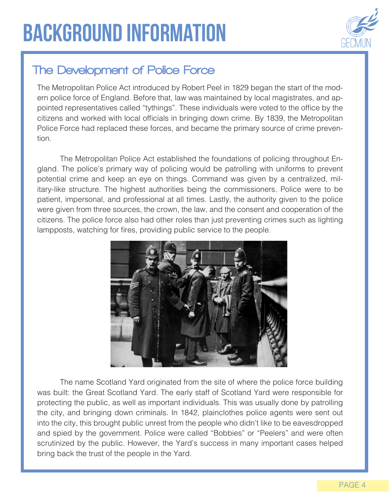

### The Development of Police Force

The Metropolitan Police Act introduced by Robert Peel in 1829 began the start of the modern police force of England. Before that, law was maintained by local magistrates, and appointed representatives called "tythings". These individuals were voted to the office by the citizens and worked with local officials in bringing down crime. By 1839, the Metropolitan Police Force had replaced these forces, and became the primary source of crime prevention.

The Metropolitan Police Act established the foundations of policing throughout England. The police's primary way of policing would be patrolling with uniforms to prevent potential crime and keep an eye on things. Command was given by a centralized, military-like structure. The highest authorities being the commissioners. Police were to be patient, impersonal, and professional at all times. Lastly, the authority given to the police were given from three sources, the crown, the law, and the consent and cooperation of the citizens. The police force also had other roles than just preventing crimes such as lighting lampposts, watching for fires, providing public service to the people.



The name Scotland Yard originated from the site of where the police force building was built: the Great Scotland Yard. The early staff of Scotland Yard were responsible for protecting the public, as well as important individuals. This was usually done by patrolling the city, and bringing down criminals. In 1842, plainclothes police agents were sent out into the city, this brought public unrest from the people who didn't like to be eavesdropped and spied by the government. Police were called "Bobbies" or "Peelers" and were often scrutinized by the public. However, the Yard's success in many important cases helped bring back the trust of the people in the Yard.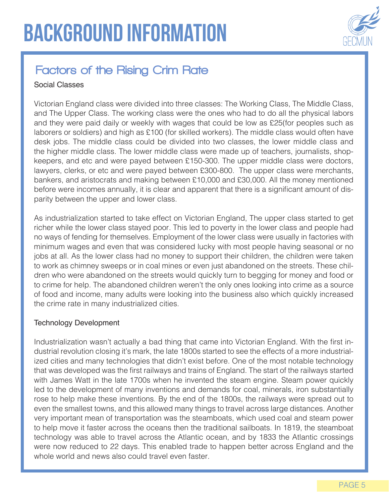

### Factors of the Rising Crim Rate

#### Social Classes

Victorian England class were divided into three classes: The Working Class, The Middle Class, and The Upper Class. The working class were the ones who had to do all the physical labors and they were paid daily or weekly with wages that could be low as £25(for peoples such as laborers or soldiers) and high as £100 (for skilled workers). The middle class would often have desk jobs. The middle class could be divided into two classes, the lower middle class and the higher middle class. The lower middle class were made up of teachers, journalists, shopkeepers, and etc and were payed between £150-300. The upper middle class were doctors, lawyers, clerks, or etc and were payed between £300-800. The upper class were merchants, bankers, and aristocrats and making between £10,000 and £30,000. All the money mentioned before were incomes annually, it is clear and apparent that there is a significant amount of disparity between the upper and lower class.

As industrialization started to take effect on Victorian England, The upper class started to get richer while the lower class stayed poor. This led to poverty in the lower class and people had no ways of fending for themselves. Employment of the lower class were usually in factories with minimum wages and even that was considered lucky with most people having seasonal or no jobs at all. As the lower class had no money to support their children, the children were taken to work as chimney sweeps or in coal mines or even just abandoned on the streets. These children who were abandoned on the streets would quickly turn to begging for money and food or to crime for help. The abandoned children weren't the only ones looking into crime as a source of food and income, many adults were looking into the business also which quickly increased the crime rate in many industrialized cities.

#### Technology Development

Industrialization wasn't actually a bad thing that came into Victorian England. With the first industrial revolution closing it's mark, the late 1800s started to see the effects of a more industrialized cities and many technologies that didn't exist before. One of the most notable technology that was developed was the first railways and trains of England. The start of the railways started with James Watt in the late 1700s when he invented the steam engine. Steam power quickly led to the development of many inventions and demands for coal, minerals, iron substantially rose to help make these inventions. By the end of the 1800s, the railways were spread out to even the smallest towns, and this allowed many things to travel across large distances. Another very important mean of transportation was the steamboats, which used coal and steam power to help move it faster across the oceans then the traditional sailboats. In 1819, the steamboat technology was able to travel across the Atlantic ocean, and by 1833 the Atlantic crossings were now reduced to 22 days. This enabled trade to happen better across England and the whole world and news also could travel even faster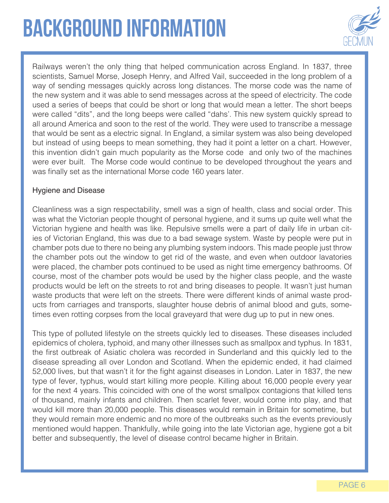## background information



Railways weren't the only thing that helped communication across England. In 1837, three scientists, Samuel Morse, Joseph Henry, and Alfred Vail, succeeded in the long problem of a way of sending messages quickly across long distances. The morse code was the name of the new system and it was able to send messages across at the speed of electricity. The code used a series of beeps that could be short or long that would mean a letter. The short beeps were called "dits", and the long beeps were called "dahs'. This new system quickly spread to all around America and soon to the rest of the world. They were used to transcribe a message that would be sent as a electric signal. In England, a similar system was also being developed but instead of using beeps to mean something, they had it point a letter on a chart. However, this invention didn't gain much popularity as the Morse code and only two of the machines were ever built. The Morse code would continue to be developed throughout the years and was finally set as the international Morse code 160 years later.

#### Hygiene and Disease

Cleanliness was a sign respectability, smell was a sign of health, class and social order. This was what the Victorian people thought of personal hygiene, and it sums up quite well what the Victorian hygiene and health was like. Repulsive smells were a part of daily life in urban cities of Victorian England, this was due to a bad sewage system. Waste by people were put in chamber pots due to there no being any plumbing system indoors. This made people just throw the chamber pots out the window to get rid of the waste, and even when outdoor lavatories were placed, the chamber pots continued to be used as night time emergency bathrooms. Of course, most of the chamber pots would be used by the higher class people, and the waste products would be left on the streets to rot and bring diseases to people. It wasn't just human waste products that were left on the streets. There were different kinds of animal waste products from carriages and transports, slaughter house debris of animal blood and guts, sometimes even rotting corpses from the local graveyard that were dug up to put in new ones.

This type of polluted lifestyle on the streets quickly led to diseases. These diseases included epidemics of cholera, typhoid, and many other illnesses such as smallpox and typhus. In 1831, the first outbreak of Asiatic cholera was recorded in Sunderland and this quickly led to the disease spreading all over London and Scotland. When the epidemic ended, it had claimed 52,000 lives, but that wasn't it for the fight against diseases in London. Later in 1837, the new type of fever, typhus, would start killing more people. Killing about 16,000 people every year for the next 4 years. This coincided with one of the worst smallpox contagions that killed tens of thousand, mainly infants and children. Then scarlet fever, would come into play, and that would kill more than 20,000 people. This diseases would remain in Britain for sometime, but they would remain more endemic and no more of the outbreaks such as the events previously mentioned would happen. Thankfully, while going into the late Victorian age, hygiene got a bit better and subsequently, the level of disease control became higher in Britain.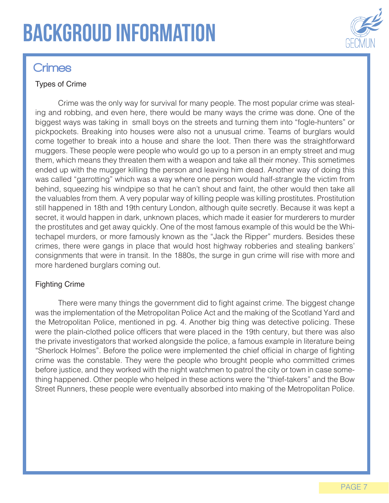## backgroud information



### **Crimes**

#### Types of Crime

Crime was the only way for survival for many people. The most popular crime was stealing and robbing, and even here, there would be many ways the crime was done. One of the biggest ways was taking in small boys on the streets and turning them into "fogle-hunters" or pickpockets. Breaking into houses were also not a unusual crime. Teams of burglars would come together to break into a house and share the loot. Then there was the straightforward muggers. These people were people who would go up to a person in an empty street and mug them, which means they threaten them with a weapon and take all their money. This sometimes ended up with the mugger killing the person and leaving him dead. Another way of doing this was called "garrotting" which was a way where one person would half-strangle the victim from behind, squeezing his windpipe so that he can't shout and faint, the other would then take all the valuables from them. A very popular way of killing people was killing prostitutes. Prostitution still happened in 18th and 19th century London, although quite secretly. Because it was kept a secret, it would happen in dark, unknown places, which made it easier for murderers to murder the prostitutes and get away quickly. One of the most famous example of this would be the Whitechapel murders, or more famously known as the "Jack the Ripper" murders. Besides these crimes, there were gangs in place that would host highway robberies and stealing bankers' consignments that were in transit. In the 1880s, the surge in gun crime will rise with more and more hardened burglars coming out.

#### Fighting Crime

There were many things the government did to fight against crime. The biggest change was the implementation of the Metropolitan Police Act and the making of the Scotland Yard and the Metropolitan Police, mentioned in pg. 4. Another big thing was detective policing. These were the plain-clothed police officers that were placed in the 19th century, but there was also the private investigators that worked alongside the police, a famous example in literature being "Sherlock Holmes". Before the police were implemented the chief official in charge of fighting crime was the constable. They were the people who brought people who committed crimes before justice, and they worked with the night watchmen to patrol the city or town in case something happened. Other people who helped in these actions were the "thief-takers" and the Bow Street Runners, these people were eventually absorbed into making of the Metropolitan Police.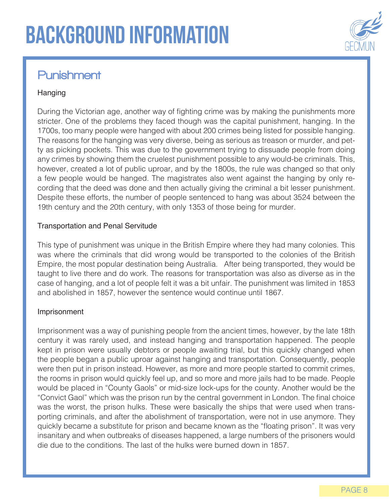

### Punishment

#### Hanging

During the Victorian age, another way of fighting crime was by making the punishments more stricter. One of the problems they faced though was the capital punishment, hanging. In the 1700s, too many people were hanged with about 200 crimes being listed for possible hanging. The reasons for the hanging was very diverse, being as serious as treason or murder, and petty as picking pockets. This was due to the government trying to dissuade people from doing any crimes by showing them the cruelest punishment possible to any would-be criminals. This, however, created a lot of public uproar, and by the 1800s, the rule was changed so that only a few people would be hanged. The magistrates also went against the hanging by only recording that the deed was done and then actually giving the criminal a bit lesser punishment. Despite these efforts, the number of people sentenced to hang was about 3524 between the 19th century and the 20th century, with only 1353 of those being for murder.

#### Transportation and Penal Servitude

This type of punishment was unique in the British Empire where they had many colonies. This was where the criminals that did wrong would be transported to the colonies of the British Empire, the most popular destination being Australia. After being transported, they would be taught to live there and do work. The reasons for transportation was also as diverse as in the case of hanging, and a lot of people felt it was a bit unfair. The punishment was limited in 1853 and abolished in 1857, however the sentence would continue until 1867.

#### Imprisonment

Imprisonment was a way of punishing people from the ancient times, however, by the late 18th century it was rarely used, and instead hanging and transportation happened. The people kept in prison were usually debtors or people awaiting trial, but this quickly changed when the people began a public uproar against hanging and transportation. Consequently, people were then put in prison instead. However, as more and more people started to commit crimes, the rooms in prison would quickly feel up, and so more and more jails had to be made. People would be placed in "County Gaols" or mid-size lock-ups for the county. Another would be the "Convict Gaol" which was the prison run by the central government in London. The final choice was the worst, the prison hulks. These were basically the ships that were used when transporting criminals, and after the abolishment of transportation, were not in use anymore. They quickly became a substitute for prison and became known as the "floating prison". It was very insanitary and when outbreaks of diseases happened, a large numbers of the prisoners would die due to the conditions. The last of the hulks were burned down in 1857.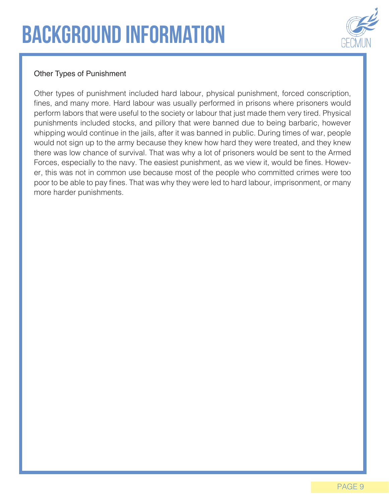### background information



#### Other Types of Punishment

Other types of punishment included hard labour, physical punishment, forced conscription, fines, and many more. Hard labour was usually performed in prisons where prisoners would perform labors that were useful to the society or labour that just made them very tired. Physical punishments included stocks, and pillory that were banned due to being barbaric, however whipping would continue in the jails, after it was banned in public. During times of war, people would not sign up to the army because they knew how hard they were treated, and they knew there was low chance of survival. That was why a lot of prisoners would be sent to the Armed Forces, especially to the navy. The easiest punishment, as we view it, would be fines. However, this was not in common use because most of the people who committed crimes were too poor to be able to pay fines. That was why they were led to hard labour, imprisonment, or many more harder punishments.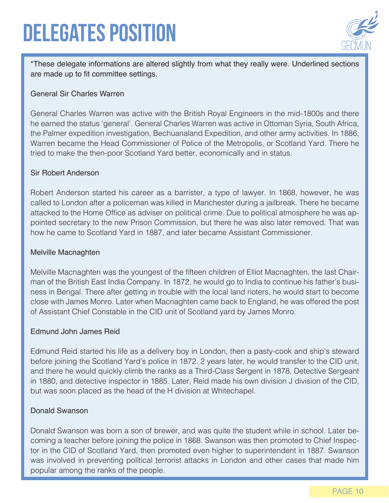### Delegates position



\*These delegate informations are altered slightly from what they really were. Underlined sections are made up to fit committee settings.

#### General Sir Charles Warren

General Charles Warren was active with the British Royal Engineers in the mid-1800s and there he earned the status 'general'. General Charles Warren was active in Ottoman Syria, South Africa, the Palmer expedition investigation, Bechuanaland Expedition, and other army activities. In 1886, Warren became the Head Commissioner of Police of the Metropolis, or Scotland Yard. There he tried to make the then-poor Scotland Yard better, economically and in status.

#### Sir Robert Anderson

Robert Anderson started his career as a barrister, a type of lawyer. In 1868, however, he was called to London after a policeman was killed in Manchester during a jailbreak. There he became attacked to the Home Office as adviser on political crime. Due to political atmosphere he was appointed secretary to the new Prison Commission, but there he was also later removed. That was how he came to Scotland Yard in 1887, and later became Assistant Commissioner.

#### Melville Macnaghten

Melville Macnaghten was the youngest of the fifteen children of Elliot Macnaghten, the last Chairman of the British East India Company. In 1872, he would go to India to continue his father's business in Bengal. There after getting in trouble with the local land rioters, he would start to become close with James Monro. Later when Macnaghten came back to England, he was offered the post of Assistant Chief Constable in the CID unit of Scotland yard by James Monro.

#### Edmund John James Reid

Edmund Reid started his life as a delivery boy in London, then a pasty-cook and ship's steward before joining the Scotland Yard's police in 1872. 2 years later, he would transfer to the CID unit, and there he would quickly climb the ranks as a Third-Class Sergent in 1878, Detective Sergeant in 1880, and detective inspector in 1885. Later, Reid made his own division J division of the CID, but was soon placed as the head of the H division at Whitechapel.

#### Donald Swanson

Donald Swanson was born a son of brewer, and was quite the student while in school. Later becoming a teacher before joining the police in 1868. Swanson was then promoted to Chief Inspector in the CID of Scotland Yard, then promoted even higher to superintendent in 1887. Swanson was involved in preventing political terrorist attacks in London and other cases that made him popular among the ranks of the people.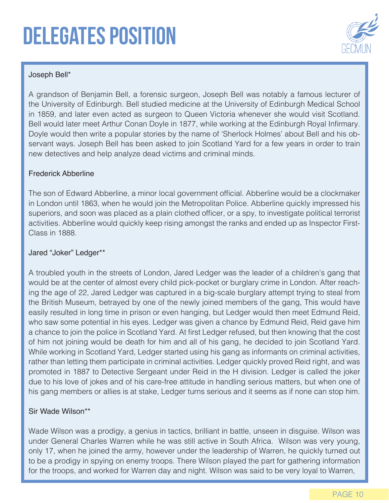### Delegates position



#### Joseph Bell\*

A grandson of Benjamin Bell, a forensic surgeon, Joseph Bell was notably a famous lecturer of the University of Edinburgh. Bell studied medicine at the University of Edinburgh Medical School in 1859, and later even acted as surgeon to Queen Victoria whenever she would visit Scotland. Bell would later meet Arthur Conan Doyle in 1877, while working at the Edinburgh Royal Infirmary. Doyle would then write a popular stories by the name of 'Sherlock Holmes' about Bell and his observant ways. Joseph Bell has been asked to join Scotland Yard for a few years in order to train new detectives and help analyze dead victims and criminal minds.

#### Frederick Abberline

The son of Edward Abberline, a minor local government official. Abberline would be a clockmaker in London until 1863, when he would join the Metropolitan Police. Abberline quickly impressed his superiors, and soon was placed as a plain clothed officer, or a spy, to investigate political terrorist activities. Abberline would quickly keep rising amongst the ranks and ended up as Inspector First-Class in 1888.

#### Jared "Joker" Ledger\*\*

A troubled youth in the streets of London, Jared Ledger was the leader of a children's gang that would be at the center of almost every child pick-pocket or burglary crime in London. After reaching the age of 22, Jared Ledger was captured in a big-scale burglary attempt trying to steal from the British Museum, betrayed by one of the newly joined members of the gang, This would have easily resulted in long time in prison or even hanging, but Ledger would then meet Edmund Reid, who saw some potential in his eyes. Ledger was given a chance by Edmund Reid, Reid gave him a chance to join the police in Scotland Yard. At first Ledger refused, but then knowing that the cost of him not joining would be death for him and all of his gang, he decided to join Scotland Yard. While working in Scotland Yard, Ledger started using his gang as informants on criminal activities, rather than letting them participate in criminal activities. Ledger quickly proved Reid right, and was promoted in 1887 to Detective Sergeant under Reid in the H division. Ledger is called the joker due to his love of jokes and of his care-free attitude in handling serious matters, but when one of his gang members or allies is at stake, Ledger turns serious and it seems as if none can stop him.

#### Sir Wade Wilson\*\*

Wade Wilson was a prodigy, a genius in tactics, brilliant in battle, unseen in disguise. Wilson was under General Charles Warren while he was still active in South Africa. Wilson was very young, only 17, when he joined the army, however under the leadership of Warren, he quickly turned out to be a prodigy in spying on enemy troops. There Wilson played the part for gathering information for the troops, and worked for Warren day and night. Wilson was said to be very loyal to Warren,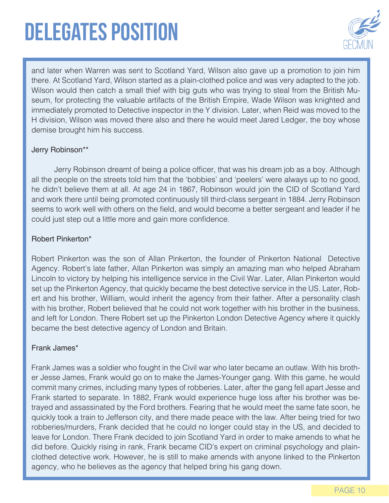## Delegates position



and later when Warren was sent to Scotland Yard, Wilson also gave up a promotion to join him there. At Scotland Yard, Wilson started as a plain-clothed police and was very adapted to the job. Wilson would then catch a small thief with big guts who was trying to steal from the British Museum, for protecting the valuable artifacts of the British Empire, Wade Wilson was knighted and immediately promoted to Detective inspector in the Y division. Later, when Reid was moved to the H division, Wilson was moved there also and there he would meet Jared Ledger, the boy whose demise brought him his success.

#### Jerry Robinson\*\*

Jerry Robinson dreamt of being a police officer, that was his dream job as a boy. Although all the people on the streets told him that the 'bobbies' and 'peelers' were always up to no good, he didn't believe them at all. At age 24 in 1867, Robinson would join the CID of Scotland Yard and work there until being promoted continuously till third-class sergeant in 1884. Jerry Robinson seems to work well with others on the field, and would become a better sergeant and leader if he could just step out a little more and gain more confidence.

#### Robert Pinkerton\*

Robert Pinkerton was the son of Allan Pinkerton, the founder of Pinkerton National Detective Agency. Robert's late father, Allan Pinkerton was simply an amazing man who helped Abraham Lincoln to victory by helping his intelligence service in the Civil War. Later, Allan Pinkerton would set up the Pinkerton Agency, that quickly became the best detective service in the US. Later, Robert and his brother, William, would inherit the agency from their father. After a personality clash with his brother, Robert believed that he could not work together with his brother in the business, and left for London. There Robert set up the Pinkerton London Detective Agency where it quickly became the best detective agency of London and Britain.

#### Frank James\*

Frank James was a soldier who fought in the Civil war who later became an outlaw. With his brother Jesse James, Frank would go on to make the James-Younger gang. With this game, he would commit many crimes, including many types of robberies. Later, after the gang fell apart Jesse and Frank started to separate. In 1882, Frank would experience huge loss after his brother was betrayed and assassinated by the Ford brothers. Fearing that he would meet the same fate soon, he quickly took a train to Jefferson city, and there made peace with the law. After being tried for two robberies/murders, Frank decided that he could no longer could stay in the US, and decided to leave for London. There Frank decided to join Scotland Yard in order to make amends to what he did before. Quickly rising in rank, Frank became CID's expert on criminal psychology and plainclothed detective work. However, he is still to make amends with anyone linked to the Pinkerton agency, who he believes as the agency that helped bring his gang down.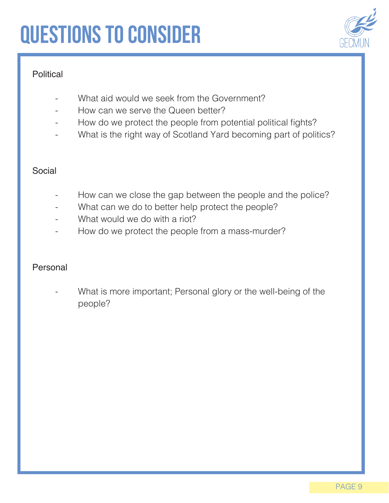# Questions to consider

### **Political**

- What aid would we seek from the Government?
- How can we serve the Queen better?
- How do we protect the people from potential political fights?
- What is the right way of Scotland Yard becoming part of politics?

#### Social

- How can we close the gap between the people and the police?
- What can we do to better help protect the people?
- What would we do with a riot?
- How do we protect the people from a mass-murder?

#### Personal

What is more important; Personal glory or the well-being of the people?

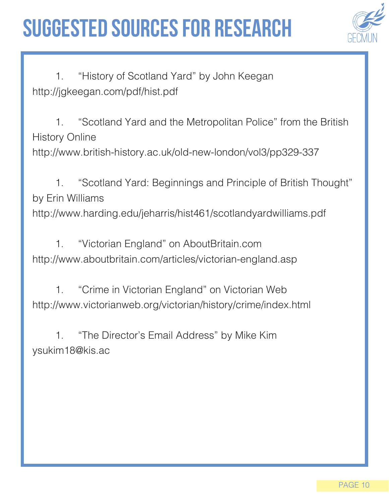### Suggested sources for research



1. "History of Scotland Yard" by John Keegan http://jgkeegan.com/pdf/hist.pdf

1. "Scotland Yard and the Metropolitan Police" from the British History Online

http://www.british-history.ac.uk/old-new-london/vol3/pp329-337

1. "Scotland Yard: Beginnings and Principle of British Thought" by Erin Williams http://www.harding.edu/jeharris/hist461/scotlandyardwilliams.pdf

1. "Victorian England" on AboutBritain.com http://www.aboutbritain.com/articles/victorian-england.asp

1. "Crime in Victorian England" on Victorian Web http://www.victorianweb.org/victorian/history/crime/index.html

1. "The Director's Email Address" by Mike Kim ysukim18@kis.ac